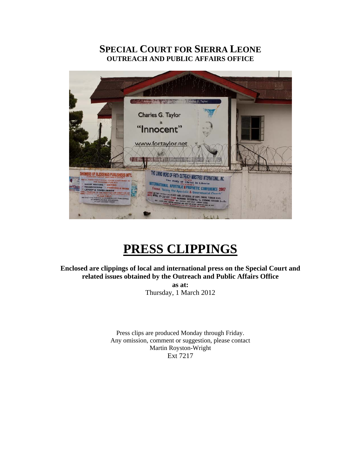# **SPECIAL COURT FOR SIERRA LEONE OUTREACH AND PUBLIC AFFAIRS OFFICE**



# **PRESS CLIPPINGS**

**Enclosed are clippings of local and international press on the Special Court and related issues obtained by the Outreach and Public Affairs Office as at:** 

Thursday, 1 March 2012

Press clips are produced Monday through Friday. Any omission, comment or suggestion, please contact Martin Royston-Wright Ext 7217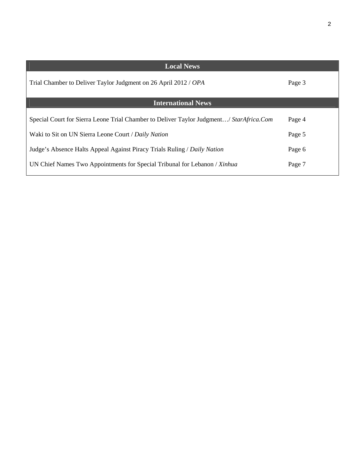| <b>Local News</b>                                                                       |        |
|-----------------------------------------------------------------------------------------|--------|
| Trial Chamber to Deliver Taylor Judgment on 26 April 2012 / OPA                         | Page 3 |
| <b>International News</b>                                                               |        |
| Special Court for Sierra Leone Trial Chamber to Deliver Taylor Judgment/ StarAfrica.Com | Page 4 |
| Waki to Sit on UN Sierra Leone Court / Daily Nation                                     | Page 5 |
| Judge's Absence Halts Appeal Against Piracy Trials Ruling / Daily Nation                | Page 6 |
| UN Chief Names Two Appointments for Special Tribunal for Lebanon / Xinhua               | Page 7 |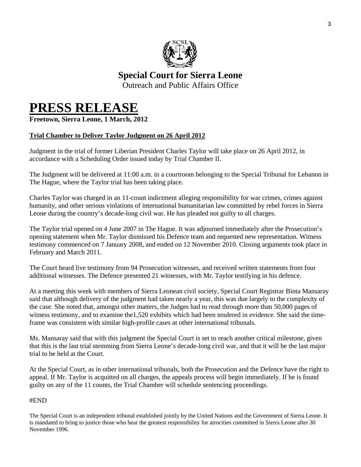

# **Special Court for Sierra Leone**  Outreach and Public Affairs Office

# **PRESS RELEASE Freetown, Sierra Leone, 1 March, 2012**

# **Trial Chamber to Deliver Taylor Judgment on 26 April 2012**

Judgment in the trial of former Liberian President Charles Taylor will take place on 26 April 2012, in accordance with a Scheduling Order issued today by Trial Chamber II.

The Judgment will be delivered at 11:00 a.m. in a courtroom belonging to the Special Tribunal for Lebanon in The Hague, where the Taylor trial has been taking place.

Charles Taylor was charged in an 11-count indictment alleging responsibility for war crimes, crimes against humanity, and other serious violations of international humanitarian law committed by rebel forces in Sierra Leone during the country's decade-long civil war. He has pleaded not guilty to all charges.

The Taylor trial opened on 4 June 2007 in The Hague. It was adjourned immediately after the Prosecution's opening statement when Mr. Taylor dismissed his Defence team and requested new representation. Witness testimony commenced on 7 January 2008, and ended on 12 November 2010. Closing arguments took place in February and March 2011.

The Court heard live testimony from 94 Prosecution witnesses, and received written statements from four additional witnesses. The Defence presented 21 witnesses, with Mr. Taylor testifying in his defence.

At a meeting this week with members of Sierra Leonean civil society, Special Court Registrar Binta Mansaray said that although delivery of the judgment had taken nearly a year, this was due largely to the complexity of the case. She noted that, amongst other matters, the Judges had to read through more than 50,000 pages of witness testimony, and to examine the 1,520 exhibits which had been tendered in evidence. She said the timeframe was consistent with similar high-profile cases at other international tribunals.

Ms. Mansaray said that with this judgment the Special Court is set to reach another critical milestone, given that this is the last trial stemming from Sierra Leone's decade-long civil war, and that it will be the last major trial to be held at the Court.

At the Special Court, as in other international tribunals, both the Prosecution and the Defence have the right to appeal. If Mr. Taylor is acquitted on all charges, the appeals process will begin immediately. If he is found guilty on any of the 11 counts, the Trial Chamber will schedule sentencing proceedings.

#### #END

The Special Court is an independent tribunal established jointly by the United Nations and the Government of Sierra Leone. It is mandated to bring to justice those who bear the greatest responsibility for atrocities committed in Sierra Leone after 30 November 1996.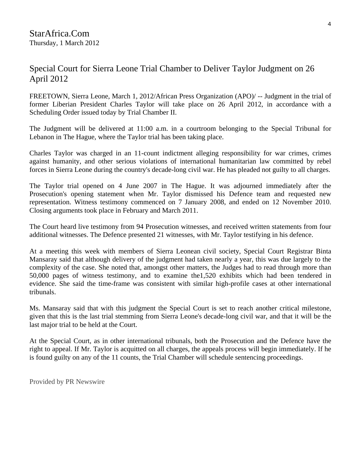# Special Court for Sierra Leone Trial Chamber to Deliver Taylor Judgment on 26 April 2012

FREETOWN, Sierra Leone, March 1, 2012/African Press Organization (APO)/ -- Judgment in the trial of former Liberian President Charles Taylor will take place on 26 April 2012, in accordance with a Scheduling Order issued today by Trial Chamber II.

The Judgment will be delivered at 11:00 a.m. in a courtroom belonging to the Special Tribunal for Lebanon in The Hague, where the Taylor trial has been taking place.

Charles Taylor was charged in an 11-count indictment alleging responsibility for war crimes, crimes against humanity, and other serious violations of international humanitarian law committed by rebel forces in Sierra Leone during the country's decade-long civil war. He has pleaded not guilty to all charges.

The Taylor trial opened on 4 June 2007 in The Hague. It was adjourned immediately after the Prosecution's opening statement when Mr. Taylor dismissed his Defence team and requested new representation. Witness testimony commenced on 7 January 2008, and ended on 12 November 2010. Closing arguments took place in February and March 2011.

The Court heard live testimony from 94 Prosecution witnesses, and received written statements from four additional witnesses. The Defence presented 21 witnesses, with Mr. Taylor testifying in his defence.

At a meeting this week with members of Sierra Leonean civil society, Special Court Registrar Binta Mansaray said that although delivery of the judgment had taken nearly a year, this was due largely to the complexity of the case. She noted that, amongst other matters, the Judges had to read through more than 50,000 pages of witness testimony, and to examine the1,520 exhibits which had been tendered in evidence. She said the time-frame was consistent with similar high-profile cases at other international tribunals.

Ms. Mansaray said that with this judgment the Special Court is set to reach another critical milestone, given that this is the last trial stemming from Sierra Leone's decade-long civil war, and that it will be the last major trial to be held at the Court.

At the Special Court, as in other international tribunals, both the Prosecution and the Defence have the right to appeal. If Mr. Taylor is acquitted on all charges, the appeals process will begin immediately. If he is found guilty on any of the 11 counts, the Trial Chamber will schedule sentencing proceedings.

Provided by PR Newswire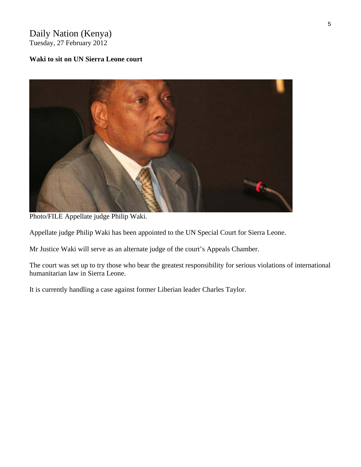# Daily Nation (Kenya) Tuesday, 27 February 2012

#### **Waki to sit on UN Sierra Leone court**



Photo/FILE Appellate judge Philip Waki.

Appellate judge Philip Waki has been appointed to the UN Special Court for Sierra Leone.

Mr Justice Waki will serve as an alternate judge of the court's Appeals Chamber.

The court was set up to try those who bear the greatest responsibility for serious violations of international humanitarian law in Sierra Leone.

It is currently handling a case against former Liberian leader Charles Taylor.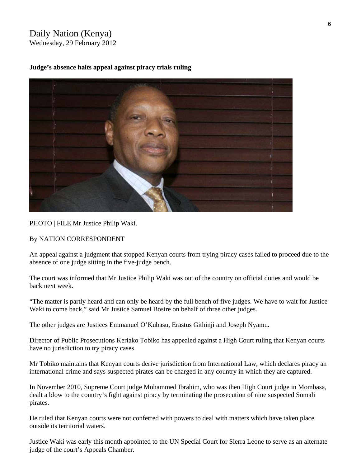### Daily Nation (Kenya) Wednesday, 29 February 2012

**Judge's absence halts appeal against piracy trials ruling** 



PHOTO | FILE Mr Justice Philip Waki.

By NATION CORRESPONDENT

An appeal against a judgment that stopped Kenyan courts from trying piracy cases failed to proceed due to the absence of one judge sitting in the five-judge bench.

The court was informed that Mr Justice Philip Waki was out of the country on official duties and would be back next week.

"The matter is partly heard and can only be heard by the full bench of five judges. We have to wait for Justice Waki to come back," said Mr Justice Samuel Bosire on behalf of three other judges.

The other judges are Justices Emmanuel O'Kubasu, Erastus Githinji and Joseph Nyamu.

Director of Public Prosecutions Keriako Tobiko has appealed against a High Court ruling that Kenyan courts have no jurisdiction to try piracy cases.

Mr Tobiko maintains that Kenyan courts derive jurisdiction from International Law, which declares piracy an international crime and says suspected pirates can be charged in any country in which they are captured.

In November 2010, Supreme Court judge Mohammed Ibrahim, who was then High Court judge in Mombasa, dealt a blow to the country's fight against piracy by terminating the prosecution of nine suspected Somali pirates.

He ruled that Kenyan courts were not conferred with powers to deal with matters which have taken place outside its territorial waters.

Justice Waki was early this month appointed to the UN Special Court for Sierra Leone to serve as an alternate judge of the court's Appeals Chamber.